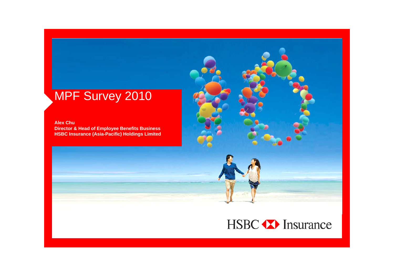# MPF Survey 2010

**Alex ChuDirector & Head of Employee Benefits Business HSBC Insurance (Asia-Pacific) Holdings Limited**



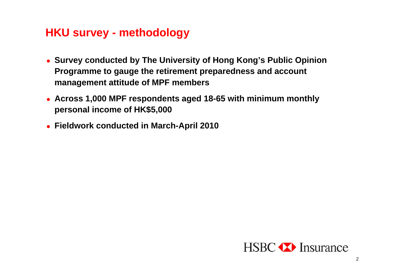### **HKU survey - methodology**

- **Survey conducted by The University of Hong Kong's Public Opinion Programme to gauge the retirement preparedness and account management attitude of MPF members**
- **Across 1,000 MPF respondents aged 18-65 with minimum monthly personal income of HK\$5,000**
- **Fieldwork conducted in March-April 2010**

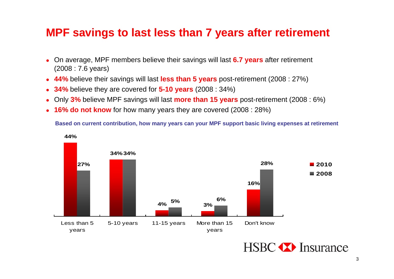#### **MPF savings to last less than 7 years after retirement**

- 0 On average, MPF members believe their savings will last **6.7 years** after retirement (2008 : 7.6 years)
- 0 **44%** believe their savings will last **less than 5 years** post-retirement (2008 : 27%)
- 0 **34%** believe they are covered for **5-10 years** (2008 : 34%)
- $\bullet$ Only **3%** believe MPF savings will last **more than 15 years** post-retirement (2008 : 6%)
- 0 **16% do not know** for how many years they are covered (2008 : 28%)

**Based on current contribution, how many years can your MPF support basic living expenses at retirement**



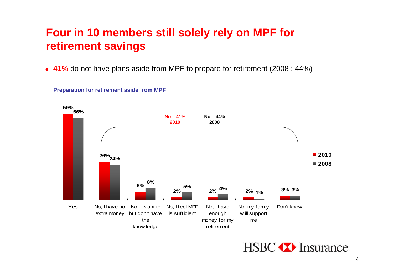# **Four in 10 members still solely rely on MPF for retirement savings**

**41%** do not have plans aside from MPF to prepare for retirement (2008 : 44%)





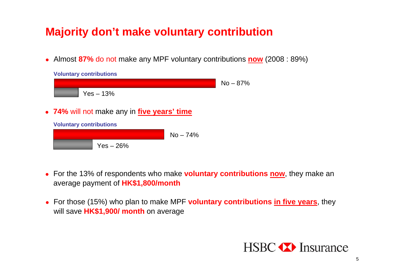# **Majority don't make voluntary contribution**

Almost **87%** do not make any MPF voluntary contributions **now** (2008 : 89%)



- For the 13% of respondents who make **voluntary contributions now**, they make an average payment of **HK\$1,800/month**
- For those (15%) who plan to make MPF **voluntary contributions in five years**, they will save **HK\$1,900/ month** on average

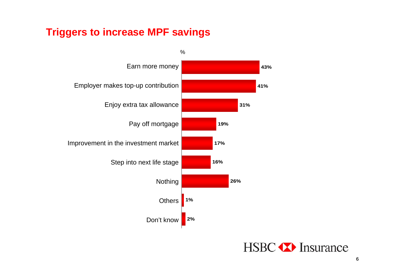#### **Triggers to increase MPF savings**



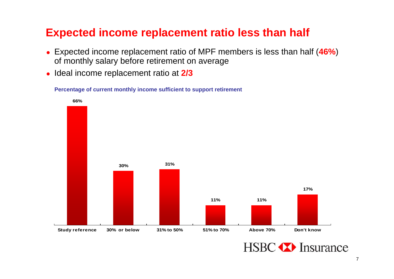# **Expected income replacement ratio less than half**

- Expected income replacement ratio of MPF members is less than half (**46%**) of monthly salary before retirement on average
- **Ideal income replacement ratio at 2/3**

**Percentage of current monthly income sufficient to support retirement**



**HSBC** Thisurance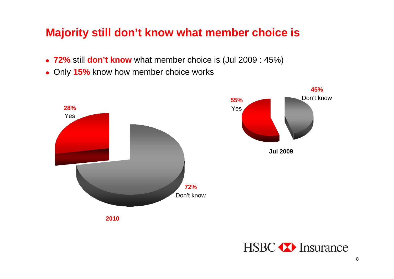# **Majority still don't know what member choice is**

- **72%** still **don't know** what member choice is (Jul 2009 : 45%)
- Only **15%** know how member choice works



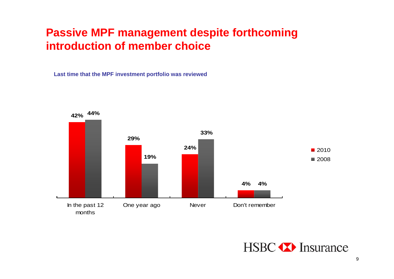## **Passive MPF management despite forthcoming introduction of member choice**

**Last time that the MPF investment portfolio was reviewed**



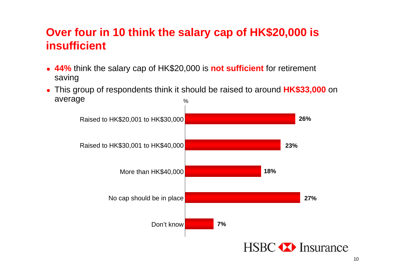# **Over four in 10 think the salary cap of HK\$20,000 is insufficient**

- **44%** think the salary cap of HK\$20,000 is **not sufficient** for retirement saving
- $\bullet$  This group of respondents think it should be raised to around **HK\$33,000** on average  $\frac{0}{0}$

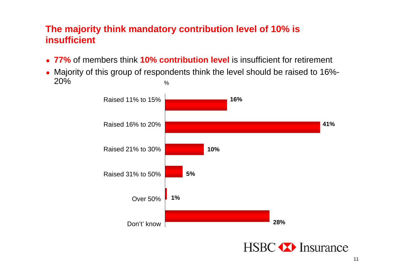#### **The majority think mandatory contribution level of 10% is insufficient**

- **77%** of members think **10% contribution level** is insufficient for retirement
- Majority of this group of respondents think the level should be raised to 16%- 20%%